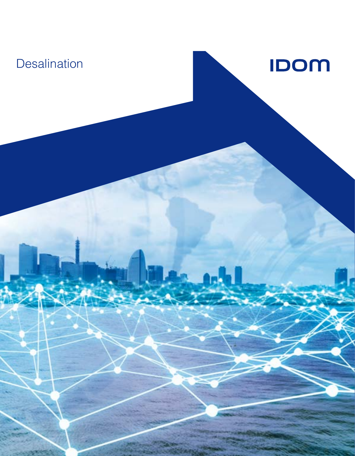# **Desalination**

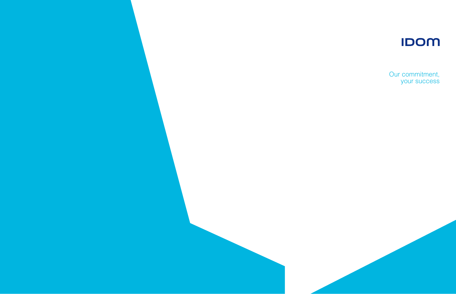



### Our commitment, your success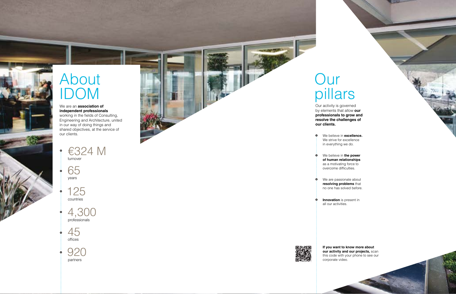# About IDOM

#### We are an **association of independent professionals**



4,300 professionals

45 offices

65 years

 $\dot{\mathbf{o}}$ 

920  $\bullet$ partners

125 countries

working in the fields of Consulting, Engineering and Architecture, united in our way of doing things and shared objectives, at the service of our clients.

# Our



Our activity is governed

- $\circ$ We believe in **excellence.** We strive for excellence in everything we do.
- We believe in **the power**   $\ddot{\mathbf{o}}$ **of human relationships** as a motivating force to overcome difficulties.
	- We are passionate about **resolving problems** that no one has solved before.
- **Innovation** is present in  $\circ$ all our activities.



 $\ddot{\mathbf{o}}$ 

by elements that allow **our professionals to grow and resolve the challenges of our clients.**

> **If you want to know more about our activity and our projects, scan** this code with your phone to see our corporate video.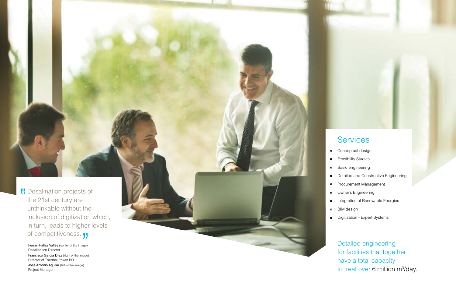- Conceptual design
- Feasibility Studies
- Basic engineering
- Detailed and Constructive Engineering
- Procurement Management
- Owner's Engineering
- Integration of Renewable Energies
- BIM design
- Digitization Expert Systems

Detailed engineering for facilities that together have a total capacity to treat over 6 million m<sup>3</sup>/day.

# **Services**

Ferran Pallás Vallés (center of the image) Desalination Director

Desalination projects of the 21st century are unthinkable without the inclusion of digitization which, in turn, leads to higher levels of competitiveness. **JJ** 

Francisco García Díez (right of the image) Director of Thermal Power BD

José Antonio Aguilar (left of the image) Project Manager

 $\dot{\mathbf{Q}}$  $\dot{\mathbf{o}}$  $\dot{\mathbf{Q}}$  $\dot{\mathbf{o}}$  $\dot{\mathbf{e}}$  $\dot{\mathbf{Q}}$  $\dot{\mathbf{o}}$  $\dot{\mathbf{o}}$  $\dot{\mathbf{o}}$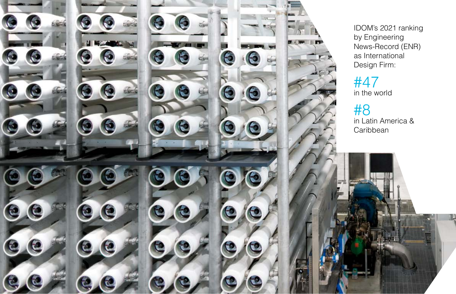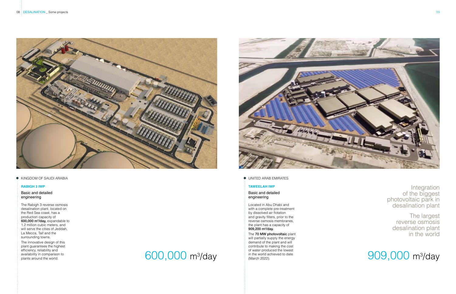

#### **O** KINGDOM OF SAUDI ARABIA

The Rabigh 3 reverse osmosis desalination plant, located on the Red Sea coast, has a production capacity of 600,000 m<sup>3</sup>/day, expandable to 1.2 million cubic meters, and will serve the cities of Jeddah, La Mecca, Taif and the surrounding towns.

#### Basic and detailed engineering

#### Basic and detailed engineering

Located in Abu Dhabi and with a complete pre-treatment by dissolved air flotation and gravity filters, prior to the reverse osmosis membranes, the plant has a capacity of 909,200 m<sup>3</sup>/day.

The innovative design of this plant guarantees the highest efficiency, reliability and availability in comparison to plants around the world.

The 70 MW photovoltaic plant will partially supply the energy demand of the plant and will contribute to making the cost of water produced the lowest in the world achieved to date (March 2022).

#### **RABIGH 3 IWP**

#### **TAWEELAH IWP**

The largest reverse osmosis desalination plant in the world

# $\frac{1}{2}$  of water produced the lowest contact of the context of the lowest  $909,000 \, \mathrm{m}^3$  day

# 600,000 m3



**O** UNITED ARAB EMIRATES

Integration of the biggest photovoltaic park in desalination plant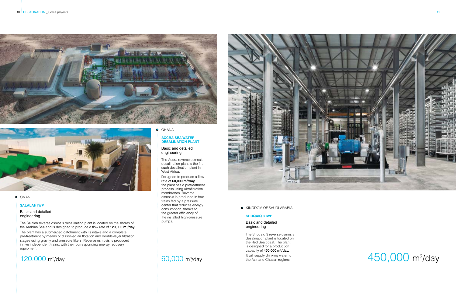



#### **o** OMAN

Basic and detailed engineering

The Shuqaiq 3 reverse osmosis desalination plant is located on the Red Sea coast. The plant is designed for a production capacity of 450,000 m<sup>3</sup>/day. It will supply drinking water to

The Salalah reverse osmosis desalination plant is located on the shores of the Arabian Sea and is designed to produce a flow rate of 120,000 m<sup>3</sup>/day.

the Asir and Chazan regions.

# $120,000$  m<sup>3</sup>/day  $60,000$  m<sup>3</sup>/day the Asir and Chazan regions.  $450,000$  m<sup>3</sup>/day

#### **SHUQAIQ 3 IWP**



#### **O** KINGDOM OF SAUDI ARABIA

#### **SALALAH IWP**

Basic and detailed engineering

The plant has a submerged catchment with its intake and a complete pre-treatment by means of dissolved air flotation and double-layer filtration stages using gravity and pressure filters. Reverse osmosis is produced in five independent trains, with their corresponding energy recovery equipment.

## 120,000 m<sup>3</sup>/day 60,000 m<sup>3</sup>/day

#### **O** GHANA

#### Basic and detailed engineering

The Accra reverse osmosis desalination plant is the first such desalination plant in West Africa.

Designed to produce a flow rate of 60,000 m<sup>3</sup>/day, the plant has a pretreatment process using ultrafiltration membranes. Reverse osmosis is produced in four trains fed by a pressure center that reduces energy consumption, thanks to the greater efficiency of the installed high-pressure pumps.

#### **ACCRA SEA WATER DESALINATION PLANT**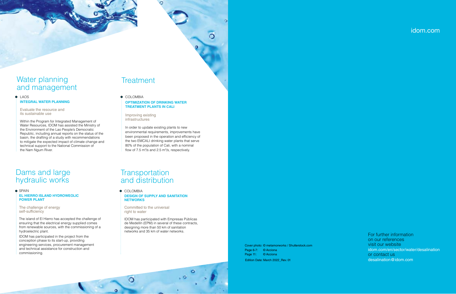## Water planning and management

**O** LAOS **INTEGRAL WATER PLANNING**

Evaluate the resource and its sustainable use

**O** COLOMBIA **OPTIMIZATION OF DRINKING WATER TREATMENT PLANTS IN CALI**

 $\circ$ 

Within the Program for Integrated Management of Water Resources, IDOM has assisted the Ministry of the Environment of the Lao People's Democratic Republic, including annual reports on the status of the basin, the drafting of a study with recommendations to mitigate the expected impact of climate change and technical support to the National Commission of the Nam Ngum River.

In order to update existing plants to new environmental requirements, improvements have been proposed in the operation and efficiency of the two EMCALI drinking water plants that serve 80% of the population of Cali, with a nominal flow of 7.5 m<sup>3</sup>/s and 2.5 m<sup>3</sup>/s, respectively.

## **Transportation** and distribution

**O** COLOMBIA **DESIGN OF SUPPLY AND SANITATION NETWORKS**

Improving existing infrastructures

## Dams and large hydraulic works

**o** SPAIN **EL HIERRO ISLAND HYDROWEOLIC POWER PLANT**

> Committed to the universal right to water

O

IDOM has participated with Empresas Públicas de Medellín (EPM) in several of these contracts, designing more than 50 km of sanitation networks and 35 km of water networks.

The challenge of energy self-sufficiency

The island of El Hierro has accepted the challenge of ensuring that the electrical energy supplied comes from renewable sources, with the commissioning of a hydroelectric plant.

IDOM has participated in the project from the conception phase to its start-up, providing engineering services, procurement management and technical assistance for construction and commissioning.

# **Treatment**

Edition Date: March 2022\_Rev. 01 Cover photo: © metamorworks / Shutterstock.com Page 6-7: © Acciona Page 11: © Acciona

For further information on our references visit our website [idom.com/en/sector/water/desalination](https://www.idom.com/en/sector/water/desalination) or contact us [desalination@idom.com](mailto:desalination@idom.com )